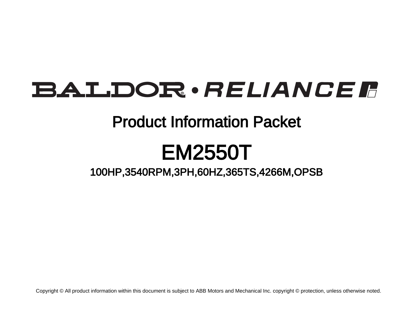# BALDOR · RELIANCE F

## Product Information Packet

# EM2550T

100HP,3540RPM,3PH,60HZ,365TS,4266M,OPSB

Copyright © All product information within this document is subject to ABB Motors and Mechanical Inc. copyright © protection, unless otherwise noted.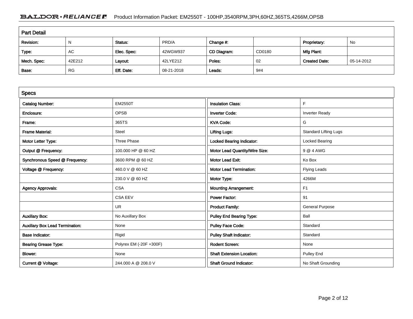### BALDOR · RELIANCE F Product Information Packet: EM2550T - 100HP,3540RPM,3PH,60HZ,365TS,4266M,OPSB

| <b>Part Detail</b> |           |             |            |             |        |                      |            |  |  |
|--------------------|-----------|-------------|------------|-------------|--------|----------------------|------------|--|--|
| Revision:          | N         | Status:     | PRD/A      | Change #:   |        | Proprietary:         | No         |  |  |
| Type:              | AC        | Elec. Spec: | 42WGW937   | CD Diagram: | CD0180 | Mfg Plant:           |            |  |  |
| Mech. Spec:        | 42E212    | Layout:     | 42LYE212   | Poles:      | 02     | <b>Created Date:</b> | 05-14-2012 |  |  |
| Base:              | <b>RG</b> | Eff. Date:  | 08-21-2018 | Leads:      | 9#4    |                      |            |  |  |

| <b>Specs</b>                           |                         |                                  |                              |
|----------------------------------------|-------------------------|----------------------------------|------------------------------|
| <b>Catalog Number:</b>                 | <b>EM2550T</b>          | <b>Insulation Class:</b>         | F                            |
| Enclosure:                             | <b>OPSB</b>             | <b>Inverter Code:</b>            | <b>Inverter Ready</b>        |
| Frame:                                 | 365TS                   | <b>KVA Code:</b>                 | G                            |
| <b>Frame Material:</b>                 | Steel                   | <b>Lifting Lugs:</b>             | <b>Standard Lifting Lugs</b> |
| Motor Letter Type:                     | <b>Three Phase</b>      | Locked Bearing Indicator:        | Locked Bearing               |
| Output @ Frequency:                    | 100.000 HP @ 60 HZ      | Motor Lead Quantity/Wire Size:   | 9 @ 4 AWG                    |
| Synchronous Speed @ Frequency:         | 3600 RPM @ 60 HZ        | <b>Motor Lead Exit:</b>          | Ko Box                       |
| Voltage @ Frequency:                   | 460.0 V @ 60 HZ         | <b>Motor Lead Termination:</b>   | <b>Flying Leads</b>          |
|                                        | 230.0 V @ 60 HZ         | Motor Type:                      | 4266M                        |
| <b>Agency Approvals:</b>               | <b>CSA</b>              | <b>Mounting Arrangement:</b>     | F <sub>1</sub>               |
|                                        | <b>CSA EEV</b>          | <b>Power Factor:</b>             | 91                           |
|                                        | <b>UR</b>               | <b>Product Family:</b>           | <b>General Purpose</b>       |
| <b>Auxillary Box:</b>                  | No Auxillary Box        | <b>Pulley End Bearing Type:</b>  | Ball                         |
| <b>Auxillary Box Lead Termination:</b> | None                    | <b>Pulley Face Code:</b>         | Standard                     |
| <b>Base Indicator:</b>                 | Rigid                   | <b>Pulley Shaft Indicator:</b>   | Standard                     |
| <b>Bearing Grease Type:</b>            | Polyrex EM (-20F +300F) | <b>Rodent Screen:</b>            | None                         |
| Blower:                                | None                    | <b>Shaft Extension Location:</b> | Pulley End                   |
| Current @ Voltage:                     | 244.000 A @ 208.0 V     | <b>Shaft Ground Indicator:</b>   | No Shaft Grounding           |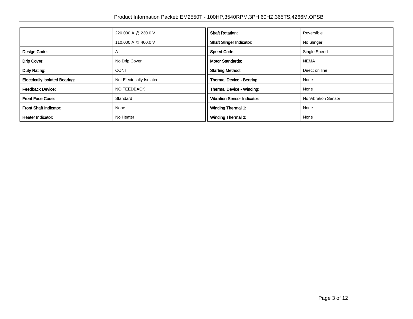|                                       | 220.000 A @ 230.0 V       | <b>Shaft Rotation:</b>             | Reversible          |
|---------------------------------------|---------------------------|------------------------------------|---------------------|
|                                       | 110.000 A @ 460.0 V       | <b>Shaft Slinger Indicator:</b>    | No Slinger          |
| Design Code:                          | $\mathsf{A}$              | <b>Speed Code:</b>                 | Single Speed        |
| Drip Cover:                           | No Drip Cover             | <b>Motor Standards:</b>            | <b>NEMA</b>         |
| Duty Rating:                          | <b>CONT</b>               | <b>Starting Method:</b>            | Direct on line      |
| <b>Electrically Isolated Bearing:</b> | Not Electrically Isolated | Thermal Device - Bearing:          | None                |
| <b>Feedback Device:</b>               | NO FEEDBACK               | Thermal Device - Winding:          | None                |
| <b>Front Face Code:</b>               | Standard                  | <b>Vibration Sensor Indicator:</b> | No Vibration Sensor |
| <b>Front Shaft Indicator:</b>         | None                      | <b>Winding Thermal 1:</b>          | None                |
| Heater Indicator:                     | No Heater                 | <b>Winding Thermal 2:</b>          | None                |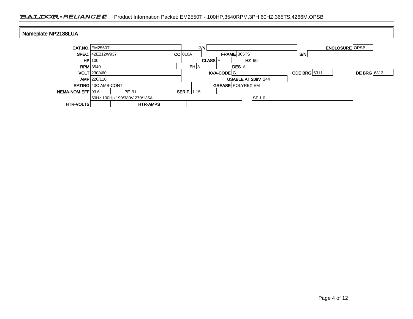### BALDOR · RELIANCE F Product Information Packet: EM2550T - 100HP,3540RPM,3PH,60HZ,365TS,4266M,OPSB

| Nameplate NP2138LUA |                              |       |                 |           |                           |     |             |                           |                     |                       |                    |
|---------------------|------------------------------|-------|-----------------|-----------|---------------------------|-----|-------------|---------------------------|---------------------|-----------------------|--------------------|
|                     | <b>CAT.NO. EM2550T</b>       |       |                 |           |                           | P/N |             |                           |                     | <b>ENCLOSURE OPSB</b> |                    |
|                     | <b>SPEC.</b> 42E212W937      |       |                 | $CC$ 010A |                           |     | FRAME 365TS | SM <sub>1</sub>           |                     |                       |                    |
|                     | HP 100                       |       |                 |           | $HZ$ 60<br><b>CLASS</b> F |     |             |                           |                     |                       |                    |
|                     | $RPM$ 3540                   |       |                 |           | PH 3                      |     |             | <b>DES</b> A              |                     |                       |                    |
|                     | <b>VOLT</b> 230/460          |       |                 |           |                           |     | KVA-CODE G  |                           | <b>ODE BRG</b> 6311 |                       | <b>DE BRG</b> 6313 |
|                     | AMP 220/110                  |       |                 |           |                           |     |             | <b>USABLE AT 208V 244</b> |                     |                       |                    |
|                     | <b>RATING 40C AMB-CONT</b>   |       |                 |           |                           |     |             | <b>GREASE POLYREX EM</b>  |                     |                       |                    |
| NEMA-NOM-EFF 93.6   |                              | PF 91 |                 |           | <b>SER.F.</b>   $1.15$    |     |             |                           |                     |                       |                    |
|                     | 50Hz 100Hp 190/380V 270/135A |       |                 |           |                           |     |             | SF 1.0                    |                     |                       |                    |
| <b>HTR-VOLTS</b>    |                              |       | <b>HTR-AMPS</b> |           |                           |     |             |                           |                     |                       |                    |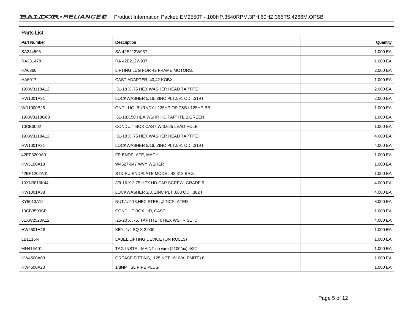| <b>Parts List</b>  |                                           |          |  |  |  |  |  |
|--------------------|-------------------------------------------|----------|--|--|--|--|--|
| <b>Part Number</b> | <b>Description</b>                        | Quantity |  |  |  |  |  |
| SA244595           | SA 42E212W937                             | 1.000 EA |  |  |  |  |  |
| RA231478           | RA 42E212W937                             | 1.000 EA |  |  |  |  |  |
| HA6360             | LIFTING LUG FOR 42 FRAME MOTORS.          | 2.000 EA |  |  |  |  |  |
| HA6017             | CAST ADAPTER, 40,42 KOBX                  | 1.000 EA |  |  |  |  |  |
| 19XW3118A12        | .31-18 X .75 HEX WASHER HEAD TAPTITE II   | 2.000 EA |  |  |  |  |  |
| HW1001A31          | LOCKWASHER 5/16, ZINC PLT.591 OD, .319 I  | 2.000 EA |  |  |  |  |  |
| WD1000B25          | GND LUG, BURNDY L125HP OR T&B L125HP-BB   | 1.000 EA |  |  |  |  |  |
| 19XW3118G08        | .31-18X.50, HEX WSHR HD, TAPTITE 2, GREEN | 1.000 EA |  |  |  |  |  |
| 10CB3002           | CONDUIT BOX CAST W/3.625 LEAD HOLE        | 1.000 EA |  |  |  |  |  |
| 19XW3118A12        | .31-18 X .75 HEX WASHER HEAD TAPTITE II   | 4.000 EA |  |  |  |  |  |
| HW1001A31          | LOCKWASHER 5/16, ZINC PLT.591 OD, .319 I  | 4.000 EA |  |  |  |  |  |
| 42EP3200A01        | FR ENDPLATE, MACH                         | 1.000 EA |  |  |  |  |  |
| HW5100A13          | W4627-047 WVY WSHER                       | 1.000 EA |  |  |  |  |  |
| 42EP1202A01        | STD PU ENDPLATE MODEL 42 313 BRG.         | 1.000 EA |  |  |  |  |  |
| 10XN3816K44        | 3/8-16 X 2.75 HEX HD CAP SCREW, GRADE 5   | 4.000 EA |  |  |  |  |  |
| HW1001A38          | LOCKWASHER 3/8, ZINC PLT .688 OD, .382 I  | 4.000 EA |  |  |  |  |  |
| XY5013A12          | NUT, 1/2-13, HEX, STEEL, ZINCPLATED       | 8.000 EA |  |  |  |  |  |
| 10CB3500SP         | CONDUIT BOX LID, CAST                     | 1.000 EA |  |  |  |  |  |
| 51XW2520A12        | .25-20 X .75, TAPTITE II, HEX WSHR SLTD   | 4.000 EA |  |  |  |  |  |
| HW2501H18          | KEY, 1/2 SQ X 2.000                       | 1.000 EA |  |  |  |  |  |
| LB1115N            | LABEL, LIFTING DEVICE (ON ROLLS)          | 1.000 EA |  |  |  |  |  |
| MN416A01           | TAG-INSTAL-MAINT no wire (2100/bx) 4/22   | 1.000 EA |  |  |  |  |  |
| HW4500A03          | GREASE FITTING, .125 NPT 1610(ALEMITE) 8  | 1.000 EA |  |  |  |  |  |
| HW4500A20          | 1/8NPT SL PIPE PLUG                       | 1.000 EA |  |  |  |  |  |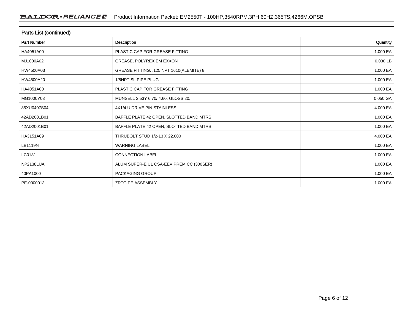| Parts List (continued) |                                          |          |  |  |  |  |  |
|------------------------|------------------------------------------|----------|--|--|--|--|--|
| <b>Part Number</b>     | Description                              | Quantity |  |  |  |  |  |
| HA4051A00              | PLASTIC CAP FOR GREASE FITTING           | 1.000 EA |  |  |  |  |  |
| MJ1000A02              | GREASE, POLYREX EM EXXON                 | 0.030 LB |  |  |  |  |  |
| HW4500A03              | GREASE FITTING, .125 NPT 1610(ALEMITE) 8 | 1.000 EA |  |  |  |  |  |
| HW4500A20              | 1/8NPT SL PIPE PLUG                      | 1.000 EA |  |  |  |  |  |
| HA4051A00              | PLASTIC CAP FOR GREASE FITTING           | 1.000 EA |  |  |  |  |  |
| MG1000Y03              | MUNSELL 2.53Y 6.70/ 4.60, GLOSS 20,      | 0.050 GA |  |  |  |  |  |
| 85XU0407S04            | 4X1/4 U DRIVE PIN STAINLESS              | 4.000 EA |  |  |  |  |  |
| 42AD2001B01            | BAFFLE PLATE 42 OPEN, SLOTTED BAND MTRS  | 1.000 EA |  |  |  |  |  |
| 42AD2001B01            | BAFFLE PLATE 42 OPEN, SLOTTED BAND MTRS  | 1.000 EA |  |  |  |  |  |
| HA3151A09              | THRUBOLT STUD 1/2-13 X 22.000            | 4.000 EA |  |  |  |  |  |
| LB1119N                | <b>WARNING LABEL</b>                     | 1.000 EA |  |  |  |  |  |
| LC0181                 | <b>CONNECTION LABEL</b>                  | 1.000 EA |  |  |  |  |  |
| NP2138LUA              | ALUM SUPER-E UL CSA-EEV PREM CC (300SER) | 1.000 EA |  |  |  |  |  |
| 40PA1000               | PACKAGING GROUP                          | 1.000 EA |  |  |  |  |  |
| PE-0000013             | ZRTG PE ASSEMBLY                         | 1.000 EA |  |  |  |  |  |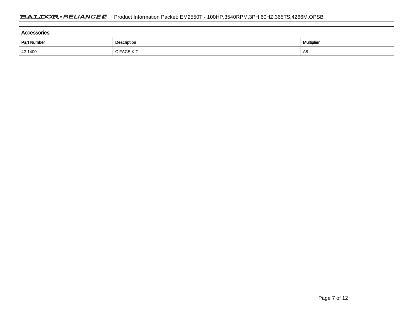| Accessories |             |            |  |  |  |  |  |
|-------------|-------------|------------|--|--|--|--|--|
| Part Number | Description | Multiplier |  |  |  |  |  |
| 42-1400     | C FACE KIT  | A8         |  |  |  |  |  |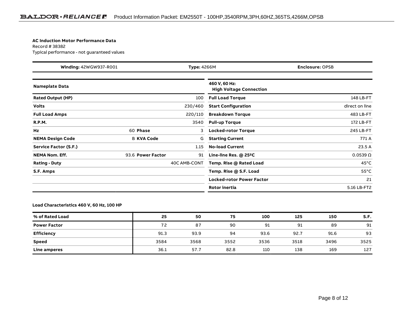#### **AC Induction Motor Performance Data**

Record # 38382Typical performance - not guaranteed values

| Winding: 42WGW937-R001       |                   | Type: 4266M<br><b>Enclosure: OPSB</b> |                                                 |                   |  |
|------------------------------|-------------------|---------------------------------------|-------------------------------------------------|-------------------|--|
| <b>Nameplate Data</b>        |                   |                                       | 460 V, 60 Hz:<br><b>High Voltage Connection</b> |                   |  |
| <b>Rated Output (HP)</b>     |                   | 100                                   | <b>Full Load Torque</b>                         | 148 LB-FT         |  |
| <b>Volts</b>                 |                   | 230/460                               | <b>Start Configuration</b>                      | direct on line    |  |
| <b>Full Load Amps</b>        |                   | 220/110                               | <b>Breakdown Torque</b>                         | 483 LB-FT         |  |
| <b>R.P.M.</b>                |                   | 3540                                  | <b>Pull-up Torque</b>                           | 172 LB-FT         |  |
| Hz                           | 60 Phase          | 3                                     | <b>Locked-rotor Torque</b>                      | 245 LB-FT         |  |
| <b>NEMA Design Code</b>      | <b>B KVA Code</b> | G                                     | <b>Starting Current</b>                         | 771 A             |  |
| <b>Service Factor (S.F.)</b> |                   | 1.15                                  | <b>No-load Current</b>                          | 23.5 A            |  |
| <b>NEMA Nom. Eff.</b>        | 93.6 Power Factor | 91                                    | Line-line Res. @ 25°C                           | $0.0539$ $\Omega$ |  |
| <b>Rating - Duty</b>         |                   | 40C AMB-CONT                          | Temp. Rise @ Rated Load                         | $45^{\circ}$ C    |  |
| S.F. Amps                    |                   |                                       | Temp. Rise @ S.F. Load                          | $55^{\circ}$ C    |  |
|                              |                   |                                       | <b>Locked-rotor Power Factor</b>                | 21                |  |
|                              |                   |                                       | Rotor inertia                                   | 5.16 LB-FT2       |  |

#### **Load Characteristics 460 V, 60 Hz, 100 HP**

| % of Rated Load     | 25   | 50   | 75   | 100  | 125  | 150  | S.F. |
|---------------------|------|------|------|------|------|------|------|
| <b>Power Factor</b> | 72   | 87   | 90   | 91   | 91   | 89   | 91   |
| <b>Efficiency</b>   | 91.3 | 93.9 | 94   | 93.6 | 92.7 | 91.6 | 93   |
| <b>Speed</b>        | 3584 | 3568 | 3552 | 3536 | 3518 | 3496 | 3525 |
| Line amperes        | 36.1 | 57.7 | 82.8 | 110  | 138  | 169  | 127  |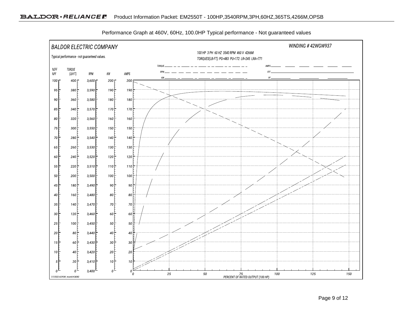

Performance Graph at 460V, 60Hz, 100.0HP Typical performance - Not guaranteed values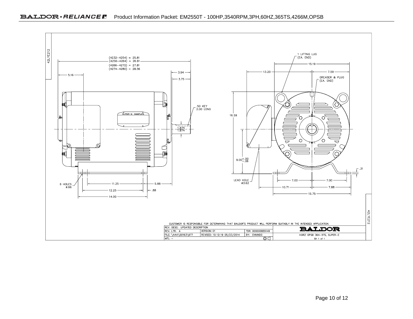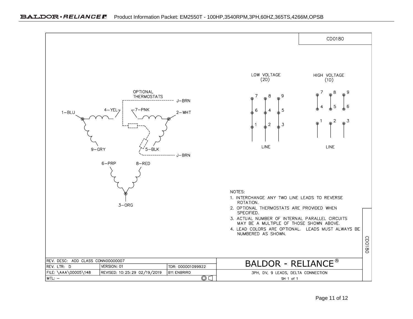